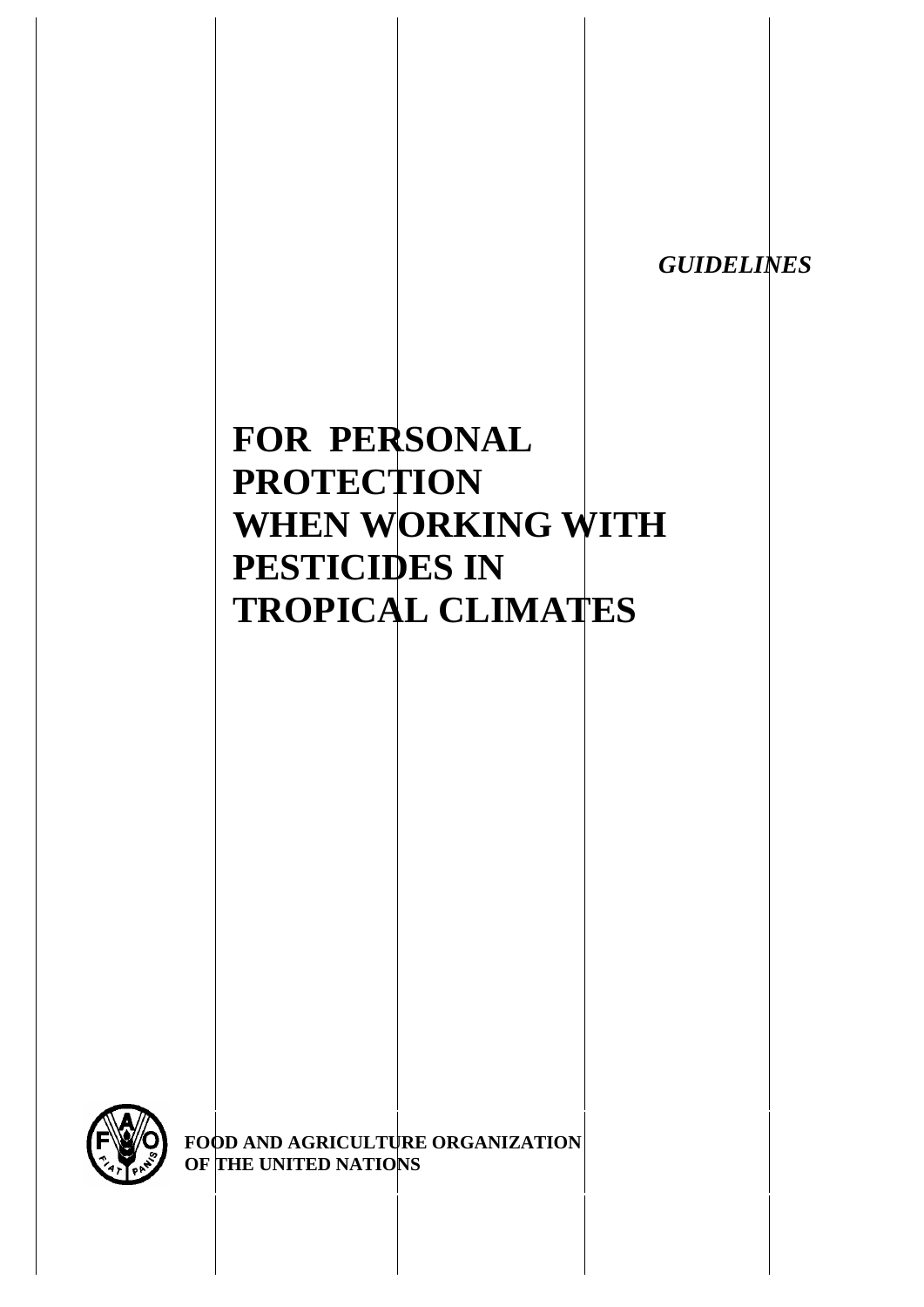*GUIDELINES* 

# **FOR PERSONAL PROTECTION WHEN WORKING WITH PESTICIDES IN TROPICAL CLIMATES**



**FOOD AND AGRICULTURE ORGANIZATION OF THE UNITED NATIONS**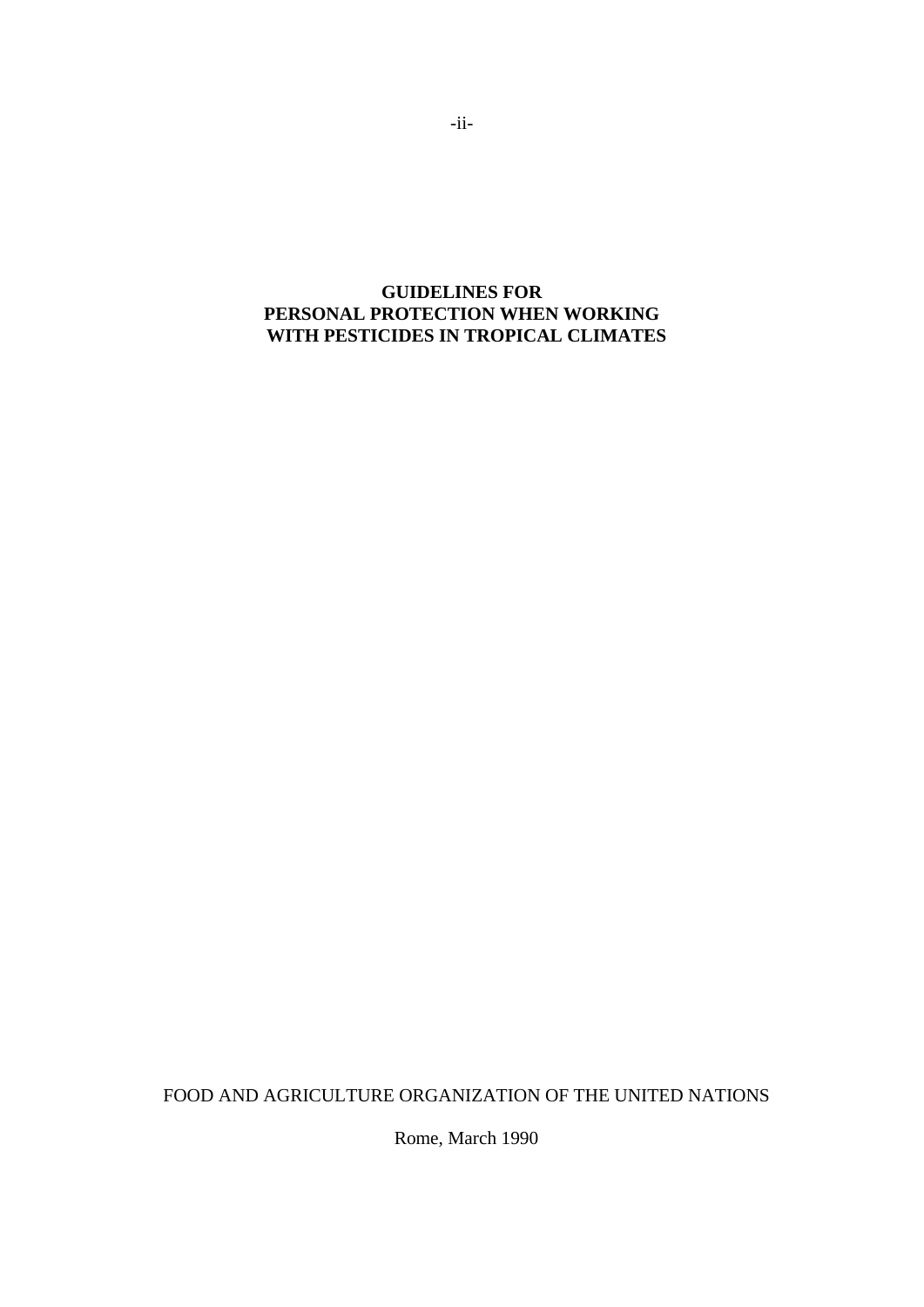# **GUIDELINES FOR PERSONAL PROTECTION WHEN WORKING WITH PESTICIDES IN TROPICAL CLIMATES**

FOOD AND AGRICULTURE ORGANIZATION OF THE UNITED NATIONS

Rome, March 1990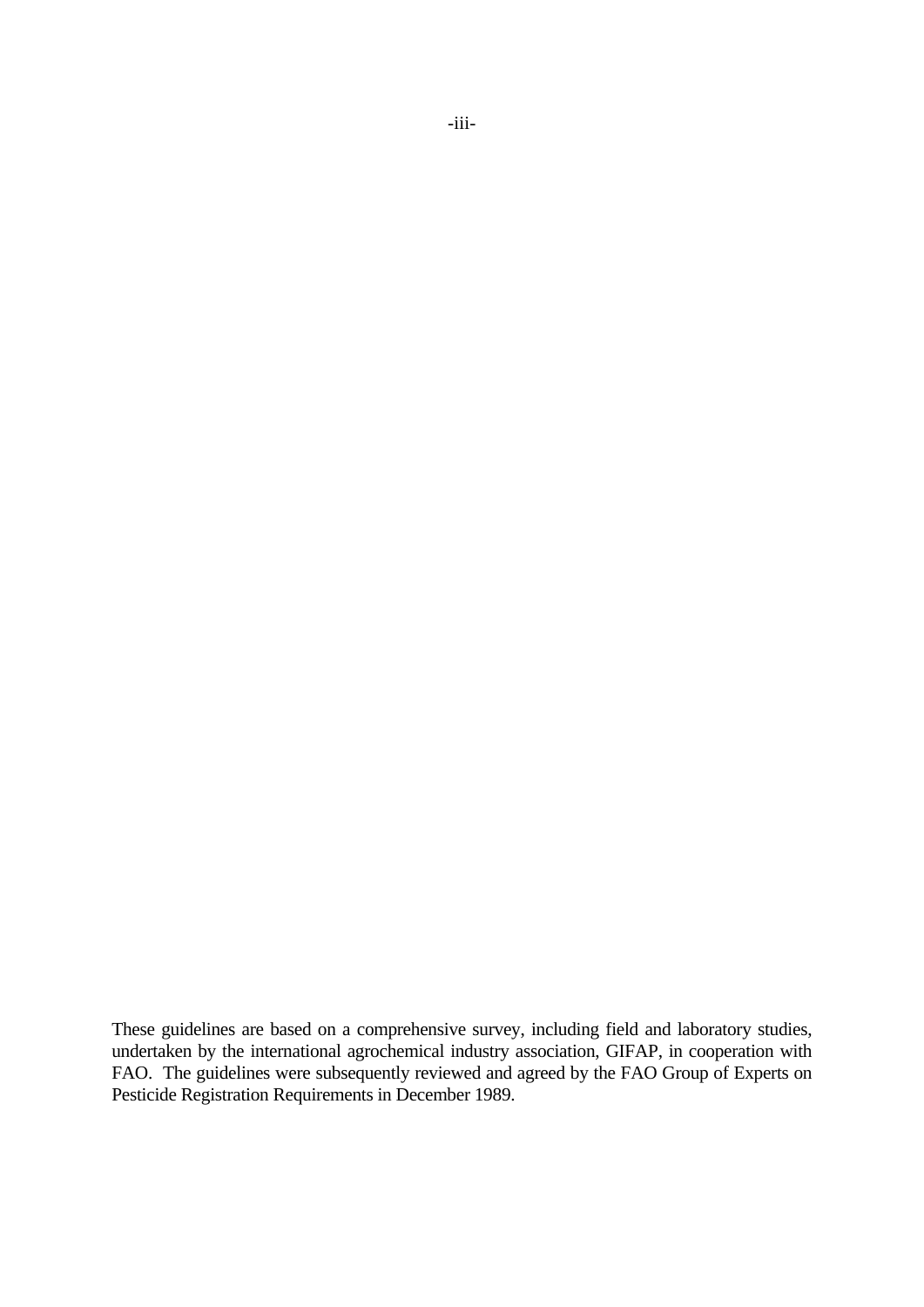These guidelines are based on a comprehensive survey, including field and laboratory studies, undertaken by the international agrochemical industry association, GIFAP, in cooperation with FAO. The guidelines were subsequently reviewed and agreed by the FAO Group of Experts on Pesticide Registration Requirements in December 1989.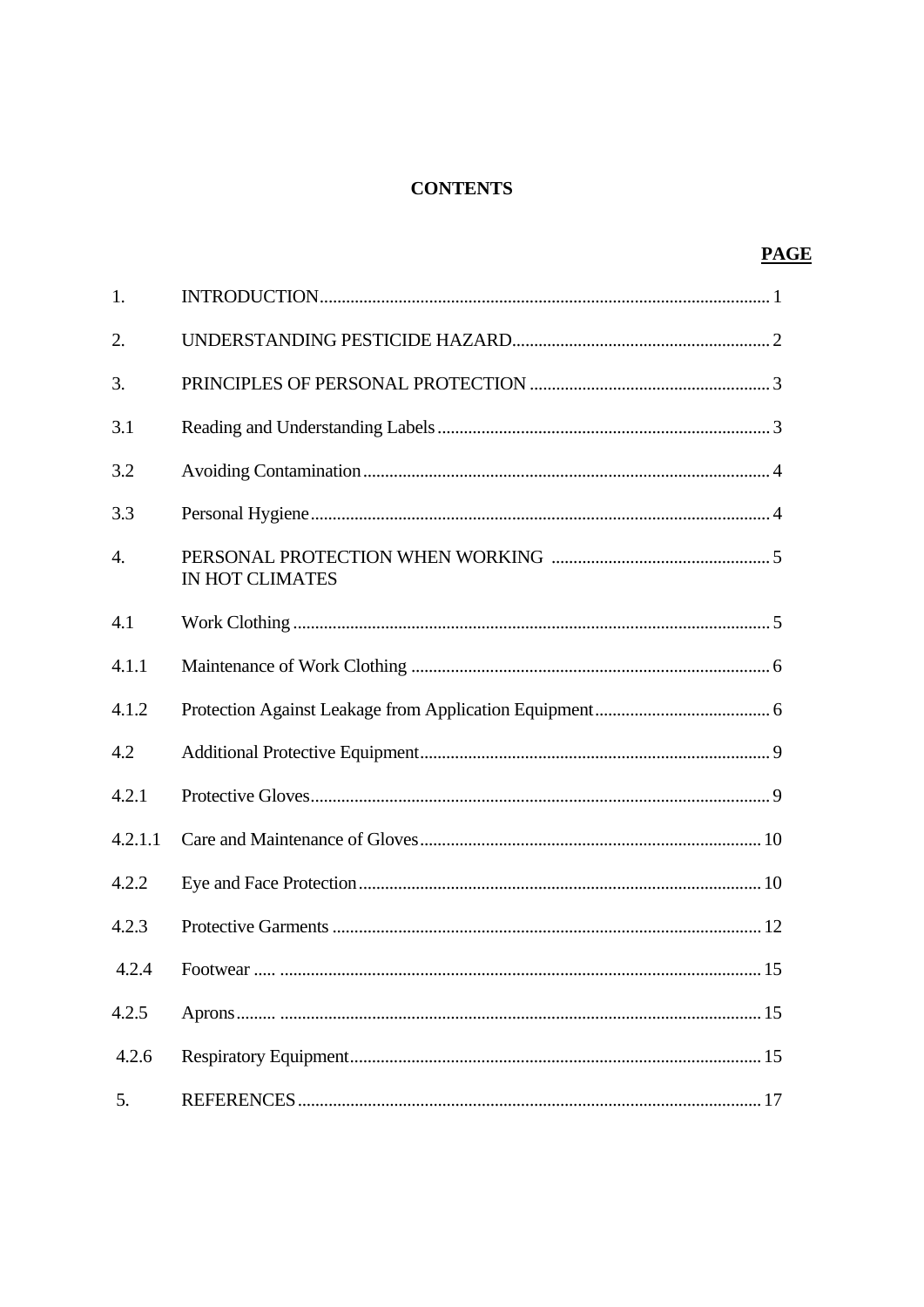# **CONTENTS**

|                  | <b>PAGE</b>            |  |
|------------------|------------------------|--|
| 1.               |                        |  |
| 2.               |                        |  |
| 3.               |                        |  |
| 3.1              |                        |  |
| 3.2              |                        |  |
| 3.3              |                        |  |
| $\overline{4}$ . | <b>IN HOT CLIMATES</b> |  |
| 4.1              |                        |  |
| 4.1.1            |                        |  |
| 4.1.2            |                        |  |
| 4.2              |                        |  |
| 4.2.1            |                        |  |
| 4.2.1.1          |                        |  |
| 4.2.2            |                        |  |
| 4.2.3            |                        |  |
| 4.2.4            |                        |  |
| 4.2.5            |                        |  |
| 4.2.6            |                        |  |
| 5.               |                        |  |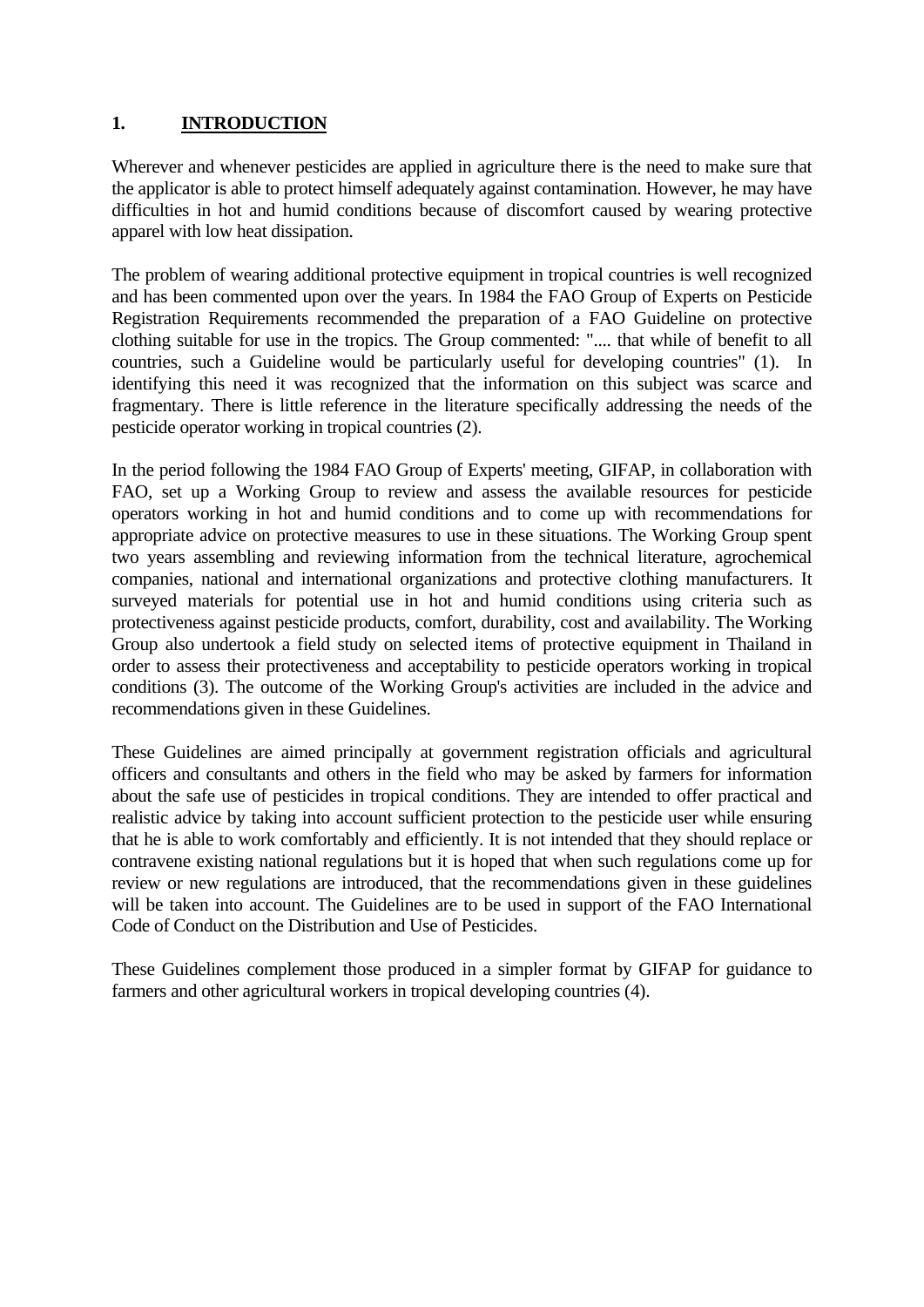# **1. INTRODUCTION**

Wherever and whenever pesticides are applied in agriculture there is the need to make sure that the applicator is able to protect himself adequately against contamination. However, he may have difficulties in hot and humid conditions because of discomfort caused by wearing protective apparel with low heat dissipation.

The problem of wearing additional protective equipment in tropical countries is well recognized and has been commented upon over the years. In 1984 the FAO Group of Experts on Pesticide Registration Requirements recommended the preparation of a FAO Guideline on protective clothing suitable for use in the tropics. The Group commented: ".... that while of benefit to all countries, such a Guideline would be particularly useful for developing countries" (1). In identifying this need it was recognized that the information on this subject was scarce and fragmentary. There is little reference in the literature specifically addressing the needs of the pesticide operator working in tropical countries (2).

In the period following the 1984 FAO Group of Experts' meeting, GIFAP, in collaboration with FAO, set up a Working Group to review and assess the available resources for pesticide operators working in hot and humid conditions and to come up with recommendations for appropriate advice on protective measures to use in these situations. The Working Group spent two years assembling and reviewing information from the technical literature, agrochemical companies, national and international organizations and protective clothing manufacturers. It surveyed materials for potential use in hot and humid conditions using criteria such as protectiveness against pesticide products, comfort, durability, cost and availability. The Working Group also undertook a field study on selected items of protective equipment in Thailand in order to assess their protectiveness and acceptability to pesticide operators working in tropical conditions (3). The outcome of the Working Group's activities are included in the advice and recommendations given in these Guidelines.

These Guidelines are aimed principally at government registration officials and agricultural officers and consultants and others in the field who may be asked by farmers for information about the safe use of pesticides in tropical conditions. They are intended to offer practical and realistic advice by taking into account sufficient protection to the pesticide user while ensuring that he is able to work comfortably and efficiently. It is not intended that they should replace or contravene existing national regulations but it is hoped that when such regulations come up for review or new regulations are introduced, that the recommendations given in these guidelines will be taken into account. The Guidelines are to be used in support of the FAO International Code of Conduct on the Distribution and Use of Pesticides.

These Guidelines complement those produced in a simpler format by GIFAP for guidance to farmers and other agricultural workers in tropical developing countries (4).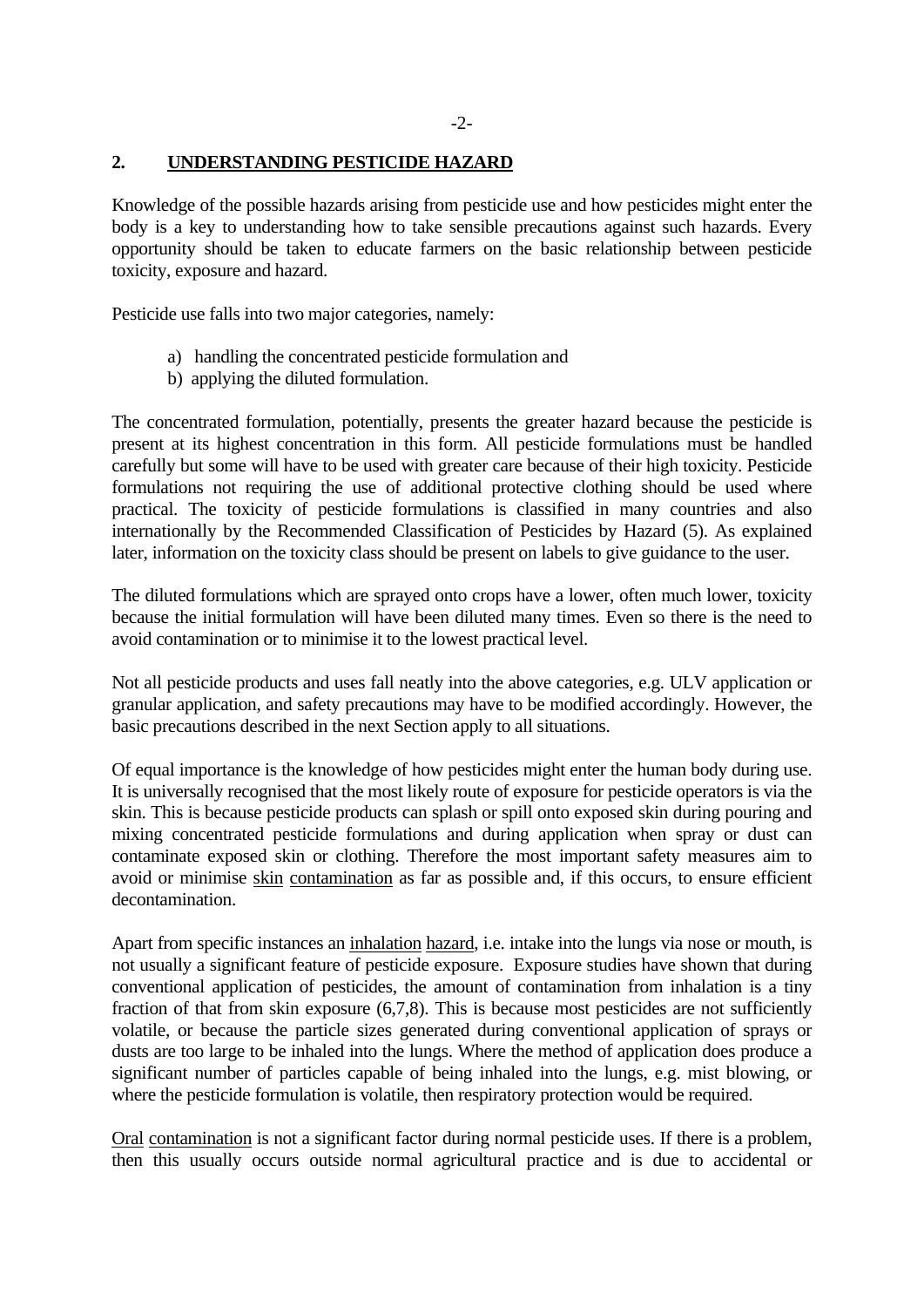#### **2. UNDERSTANDING PESTICIDE HAZARD**

Knowledge of the possible hazards arising from pesticide use and how pesticides might enter the body is a key to understanding how to take sensible precautions against such hazards. Every opportunity should be taken to educate farmers on the basic relationship between pesticide toxicity, exposure and hazard.

Pesticide use falls into two major categories, namely:

- a) handling the concentrated pesticide formulation and
- b) applying the diluted formulation.

The concentrated formulation, potentially, presents the greater hazard because the pesticide is present at its highest concentration in this form. All pesticide formulations must be handled carefully but some will have to be used with greater care because of their high toxicity. Pesticide formulations not requiring the use of additional protective clothing should be used where practical. The toxicity of pesticide formulations is classified in many countries and also internationally by the Recommended Classification of Pesticides by Hazard (5). As explained later, information on the toxicity class should be present on labels to give guidance to the user.

The diluted formulations which are sprayed onto crops have a lower, often much lower, toxicity because the initial formulation will have been diluted many times. Even so there is the need to avoid contamination or to minimise it to the lowest practical level.

Not all pesticide products and uses fall neatly into the above categories, e.g. ULV application or granular application, and safety precautions may have to be modified accordingly. However, the basic precautions described in the next Section apply to all situations.

Of equal importance is the knowledge of how pesticides might enter the human body during use. It is universally recognised that the most likely route of exposure for pesticide operators is via the skin. This is because pesticide products can splash or spill onto exposed skin during pouring and mixing concentrated pesticide formulations and during application when spray or dust can contaminate exposed skin or clothing. Therefore the most important safety measures aim to avoid or minimise skin contamination as far as possible and, if this occurs, to ensure efficient decontamination.

Apart from specific instances an inhalation hazard, i.e. intake into the lungs via nose or mouth, is not usually a significant feature of pesticide exposure. Exposure studies have shown that during conventional application of pesticides, the amount of contamination from inhalation is a tiny fraction of that from skin exposure (6,7,8). This is because most pesticides are not sufficiently volatile, or because the particle sizes generated during conventional application of sprays or dusts are too large to be inhaled into the lungs. Where the method of application does produce a significant number of particles capable of being inhaled into the lungs, e.g. mist blowing, or where the pesticide formulation is volatile, then respiratory protection would be required.

Oral contamination is not a significant factor during normal pesticide uses. If there is a problem, then this usually occurs outside normal agricultural practice and is due to accidental or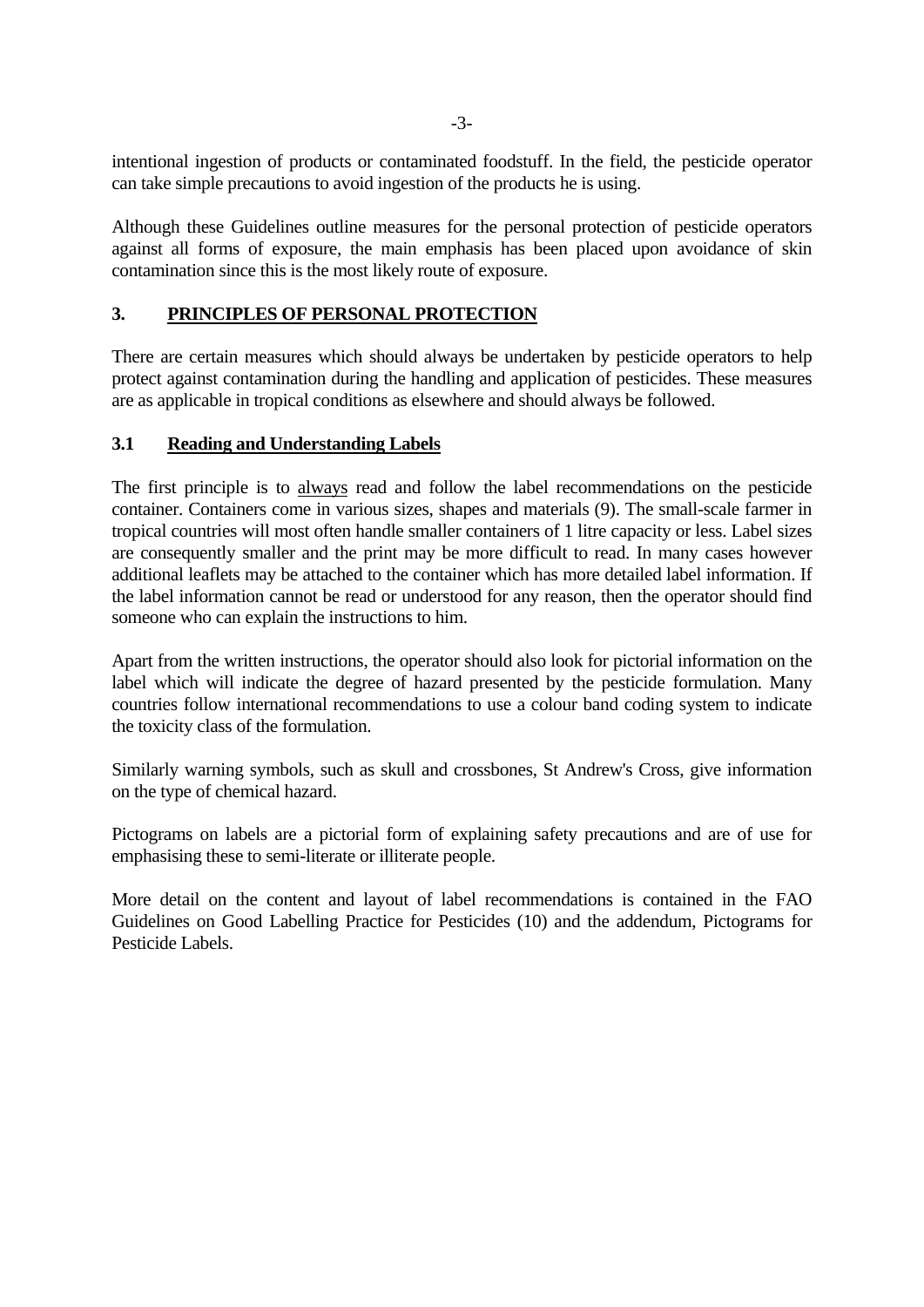intentional ingestion of products or contaminated foodstuff. In the field, the pesticide operator can take simple precautions to avoid ingestion of the products he is using.

Although these Guidelines outline measures for the personal protection of pesticide operators against all forms of exposure, the main emphasis has been placed upon avoidance of skin contamination since this is the most likely route of exposure.

# **3. PRINCIPLES OF PERSONAL PROTECTION**

There are certain measures which should always be undertaken by pesticide operators to help protect against contamination during the handling and application of pesticides. These measures are as applicable in tropical conditions as elsewhere and should always be followed.

## **3.1 Reading and Understanding Labels**

The first principle is to always read and follow the label recommendations on the pesticide container. Containers come in various sizes, shapes and materials (9). The small-scale farmer in tropical countries will most often handle smaller containers of 1 litre capacity or less. Label sizes are consequently smaller and the print may be more difficult to read. In many cases however additional leaflets may be attached to the container which has more detailed label information. If the label information cannot be read or understood for any reason, then the operator should find someone who can explain the instructions to him.

Apart from the written instructions, the operator should also look for pictorial information on the label which will indicate the degree of hazard presented by the pesticide formulation. Many countries follow international recommendations to use a colour band coding system to indicate the toxicity class of the formulation.

Similarly warning symbols, such as skull and crossbones, St Andrew's Cross, give information on the type of chemical hazard.

Pictograms on labels are a pictorial form of explaining safety precautions and are of use for emphasising these to semi-literate or illiterate people.

More detail on the content and layout of label recommendations is contained in the FAO Guidelines on Good Labelling Practice for Pesticides (10) and the addendum, Pictograms for Pesticide Labels.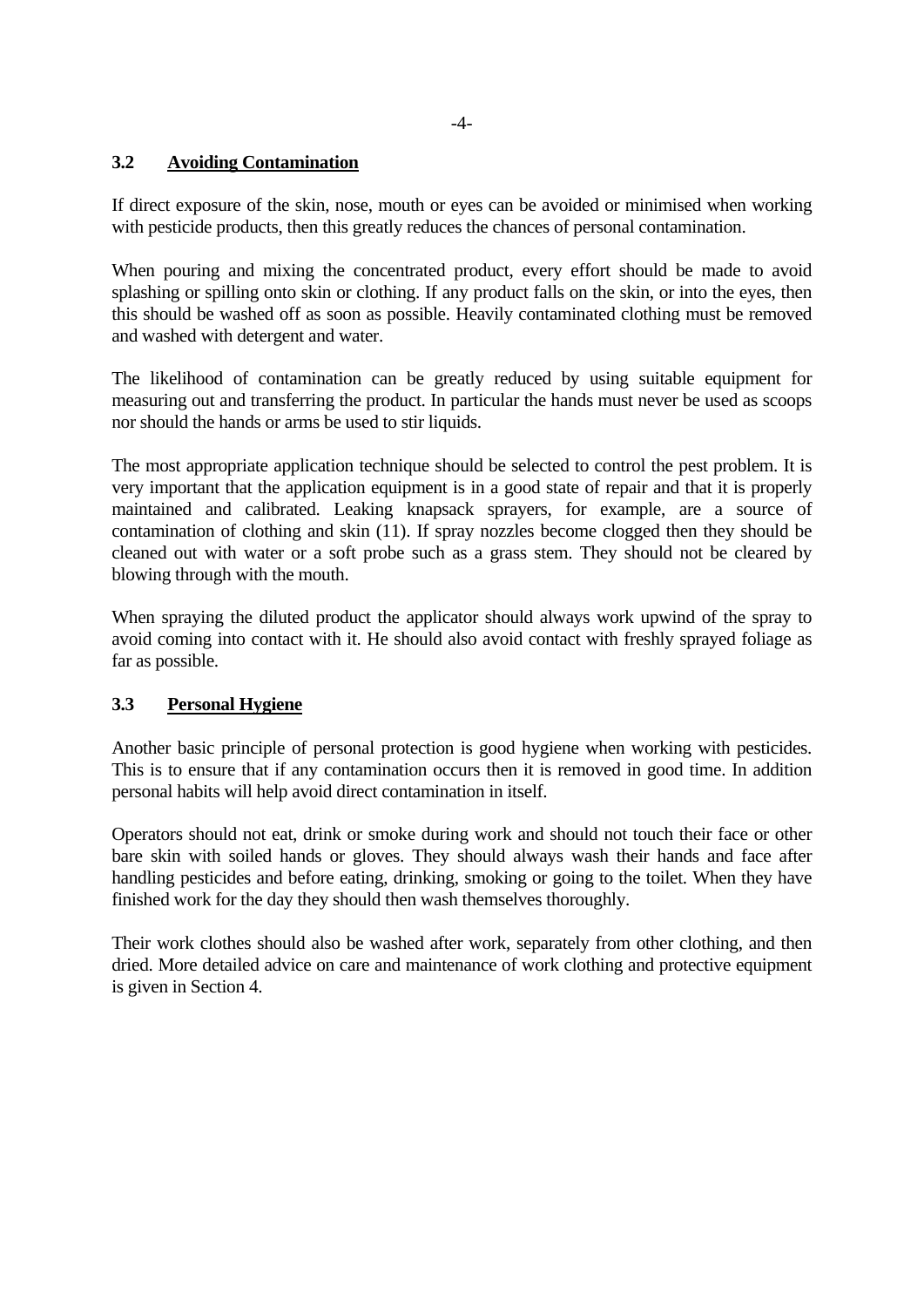# **3.2 Avoiding Contamination**

If direct exposure of the skin, nose, mouth or eyes can be avoided or minimised when working with pesticide products, then this greatly reduces the chances of personal contamination.

When pouring and mixing the concentrated product, every effort should be made to avoid splashing or spilling onto skin or clothing. If any product falls on the skin, or into the eyes, then this should be washed off as soon as possible. Heavily contaminated clothing must be removed and washed with detergent and water.

The likelihood of contamination can be greatly reduced by using suitable equipment for measuring out and transferring the product. In particular the hands must never be used as scoops nor should the hands or arms be used to stir liquids.

The most appropriate application technique should be selected to control the pest problem. It is very important that the application equipment is in a good state of repair and that it is properly maintained and calibrated. Leaking knapsack sprayers, for example, are a source of contamination of clothing and skin (11). If spray nozzles become clogged then they should be cleaned out with water or a soft probe such as a grass stem. They should not be cleared by blowing through with the mouth.

When spraying the diluted product the applicator should always work upwind of the spray to avoid coming into contact with it. He should also avoid contact with freshly sprayed foliage as far as possible.

# **3.3 Personal Hygiene**

Another basic principle of personal protection is good hygiene when working with pesticides. This is to ensure that if any contamination occurs then it is removed in good time. In addition personal habits will help avoid direct contamination in itself.

Operators should not eat, drink or smoke during work and should not touch their face or other bare skin with soiled hands or gloves. They should always wash their hands and face after handling pesticides and before eating, drinking, smoking or going to the toilet. When they have finished work for the day they should then wash themselves thoroughly.

Their work clothes should also be washed after work, separately from other clothing, and then dried. More detailed advice on care and maintenance of work clothing and protective equipment is given in Section 4.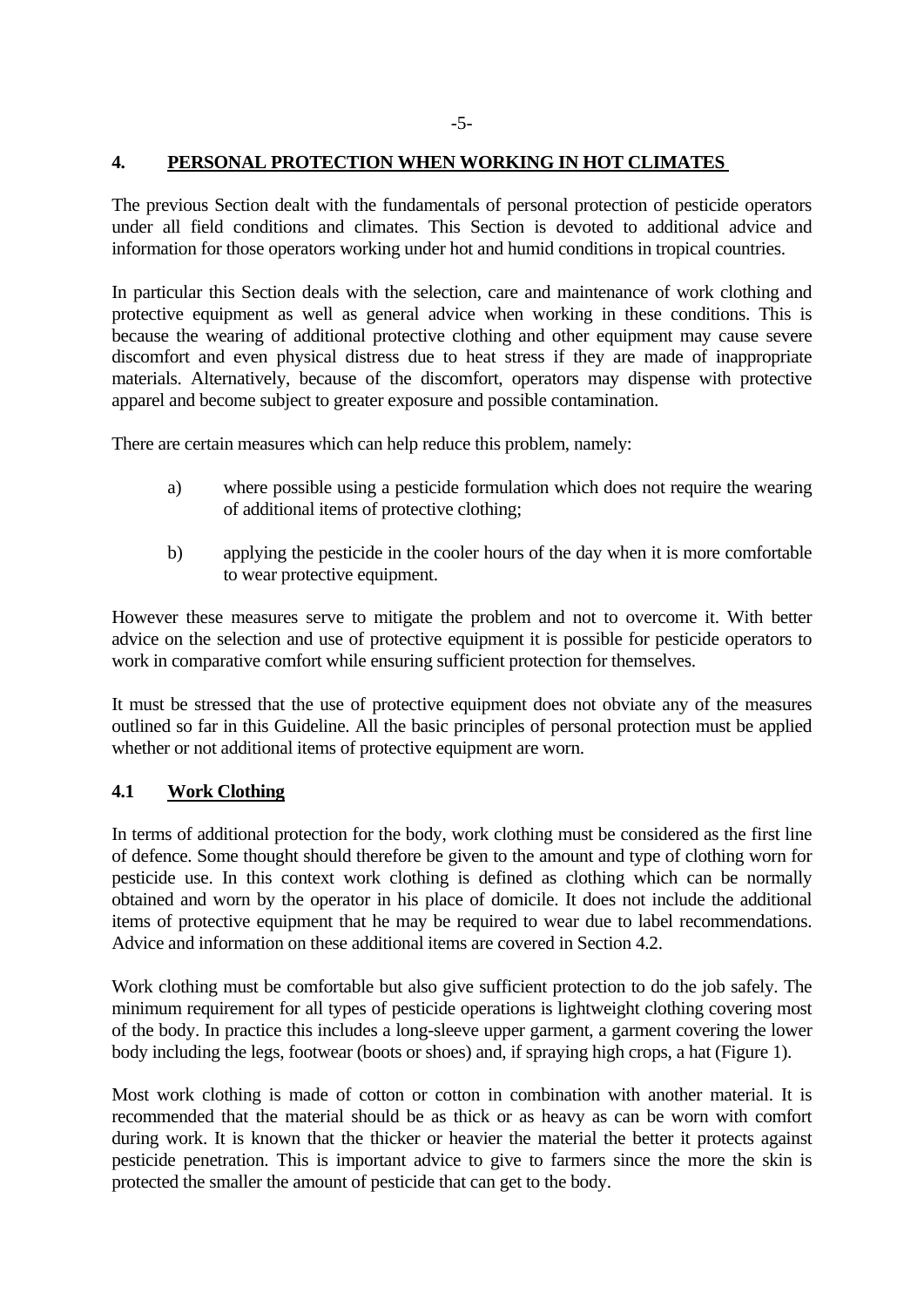#### **4. PERSONAL PROTECTION WHEN WORKING IN HOT CLIMATES**

The previous Section dealt with the fundamentals of personal protection of pesticide operators under all field conditions and climates. This Section is devoted to additional advice and information for those operators working under hot and humid conditions in tropical countries.

In particular this Section deals with the selection, care and maintenance of work clothing and protective equipment as well as general advice when working in these conditions. This is because the wearing of additional protective clothing and other equipment may cause severe discomfort and even physical distress due to heat stress if they are made of inappropriate materials. Alternatively, because of the discomfort, operators may dispense with protective apparel and become subject to greater exposure and possible contamination.

There are certain measures which can help reduce this problem, namely:

- a) where possible using a pesticide formulation which does not require the wearing of additional items of protective clothing;
- b) applying the pesticide in the cooler hours of the day when it is more comfortable to wear protective equipment.

However these measures serve to mitigate the problem and not to overcome it. With better advice on the selection and use of protective equipment it is possible for pesticide operators to work in comparative comfort while ensuring sufficient protection for themselves.

It must be stressed that the use of protective equipment does not obviate any of the measures outlined so far in this Guideline. All the basic principles of personal protection must be applied whether or not additional items of protective equipment are worn.

# **4.1 Work Clothing**

In terms of additional protection for the body, work clothing must be considered as the first line of defence. Some thought should therefore be given to the amount and type of clothing worn for pesticide use. In this context work clothing is defined as clothing which can be normally obtained and worn by the operator in his place of domicile. It does not include the additional items of protective equipment that he may be required to wear due to label recommendations. Advice and information on these additional items are covered in Section 4.2.

Work clothing must be comfortable but also give sufficient protection to do the job safely. The minimum requirement for all types of pesticide operations is lightweight clothing covering most of the body. In practice this includes a long-sleeve upper garment, a garment covering the lower body including the legs, footwear (boots or shoes) and, if spraying high crops, a hat (Figure 1).

Most work clothing is made of cotton or cotton in combination with another material. It is recommended that the material should be as thick or as heavy as can be worn with comfort during work. It is known that the thicker or heavier the material the better it protects against pesticide penetration. This is important advice to give to farmers since the more the skin is protected the smaller the amount of pesticide that can get to the body.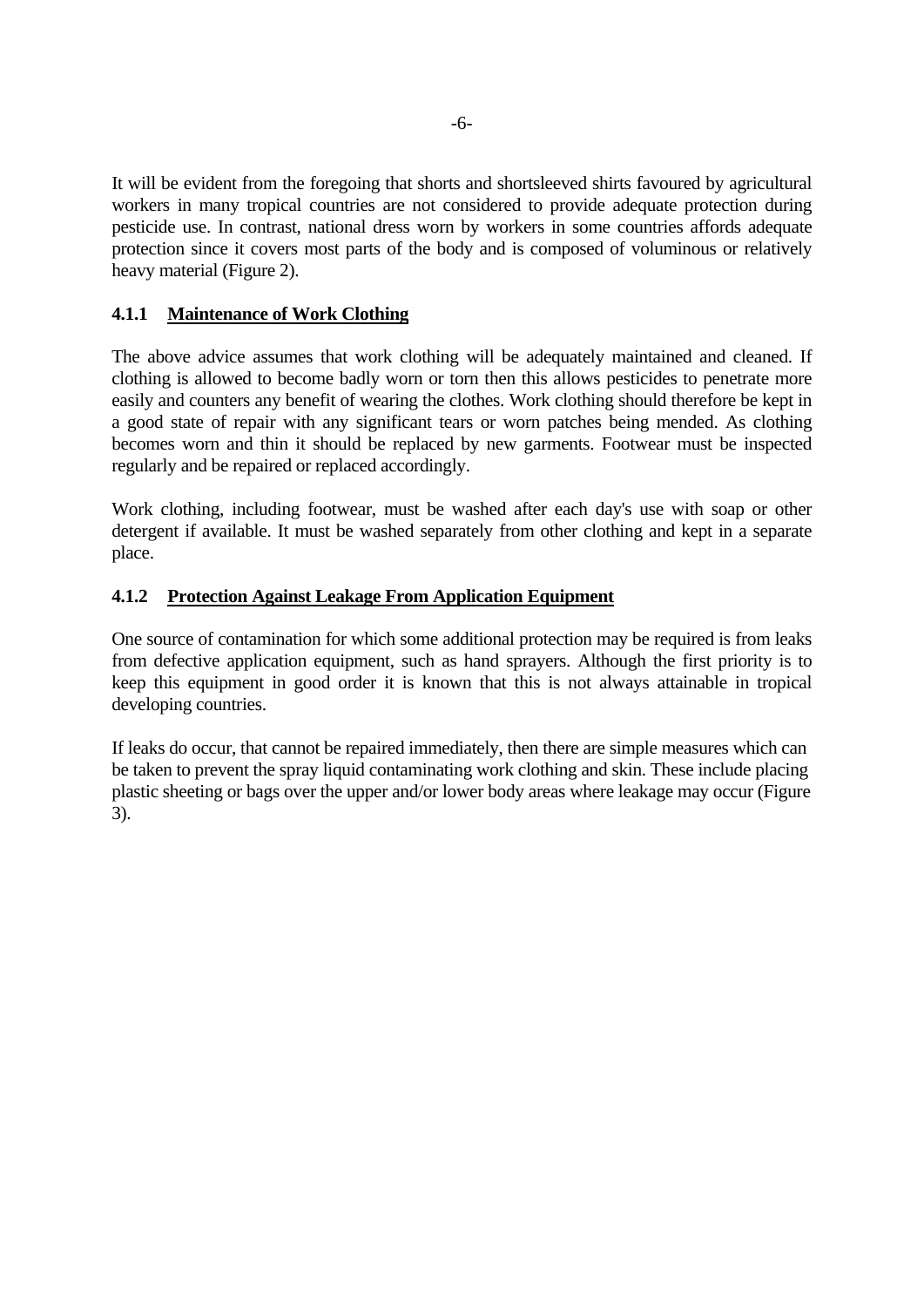It will be evident from the foregoing that shorts and shortsleeved shirts favoured by agricultural workers in many tropical countries are not considered to provide adequate protection during pesticide use. In contrast, national dress worn by workers in some countries affords adequate protection since it covers most parts of the body and is composed of voluminous or relatively heavy material (Figure 2).

# **4.1.1 Maintenance of Work Clothing**

The above advice assumes that work clothing will be adequately maintained and cleaned. If clothing is allowed to become badly worn or torn then this allows pesticides to penetrate more easily and counters any benefit of wearing the clothes. Work clothing should therefore be kept in a good state of repair with any significant tears or worn patches being mended. As clothing becomes worn and thin it should be replaced by new garments. Footwear must be inspected regularly and be repaired or replaced accordingly.

Work clothing, including footwear, must be washed after each day's use with soap or other detergent if available. It must be washed separately from other clothing and kept in a separate place.

#### **4.1.2 Protection Against Leakage From Application Equipment**

One source of contamination for which some additional protection may be required is from leaks from defective application equipment, such as hand sprayers. Although the first priority is to keep this equipment in good order it is known that this is not always attainable in tropical developing countries.

If leaks do occur, that cannot be repaired immediately, then there are simple measures which can be taken to prevent the spray liquid contaminating work clothing and skin. These include placing plastic sheeting or bags over the upper and/or lower body areas where leakage may occur (Figure 3).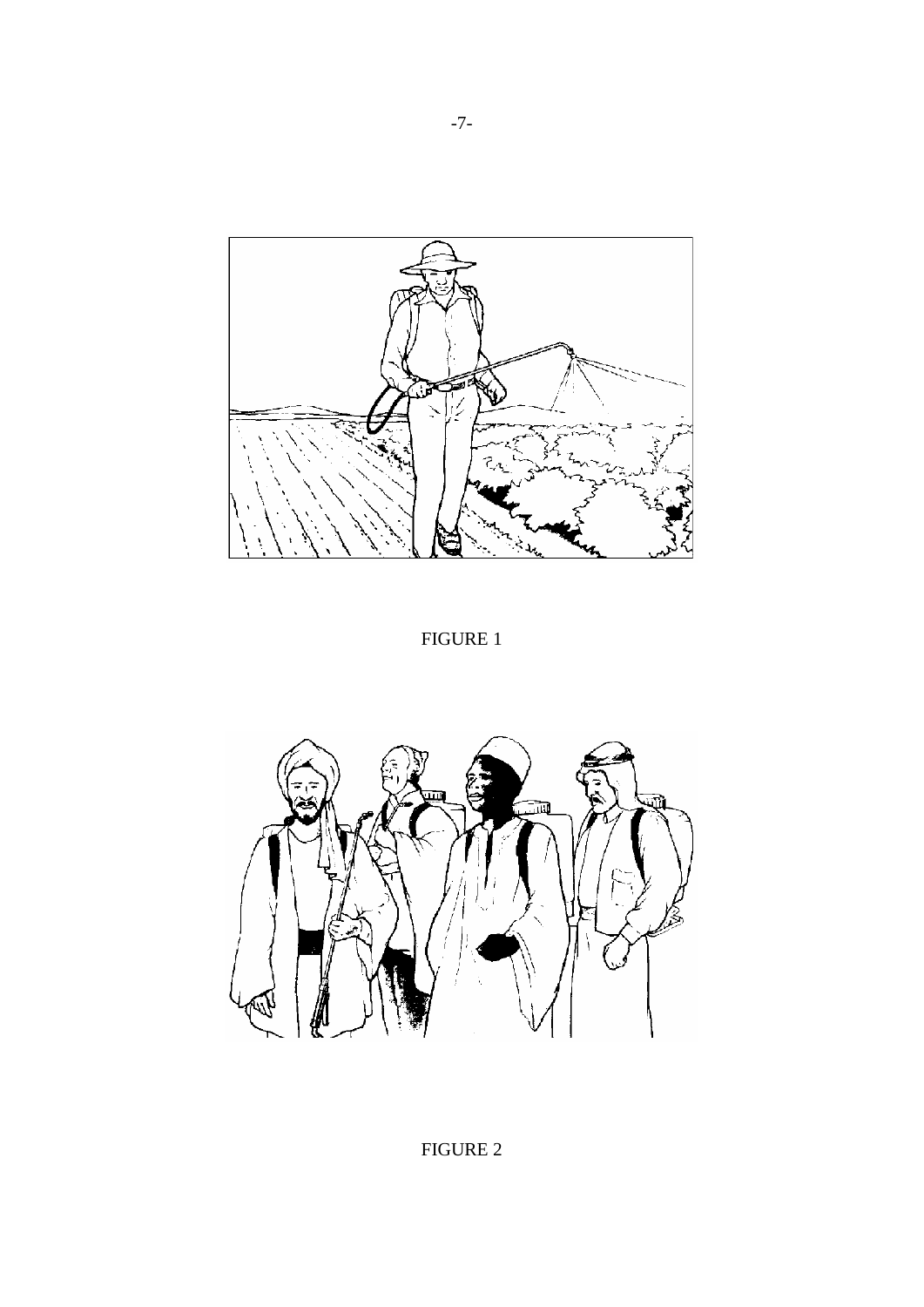

FIGURE 1

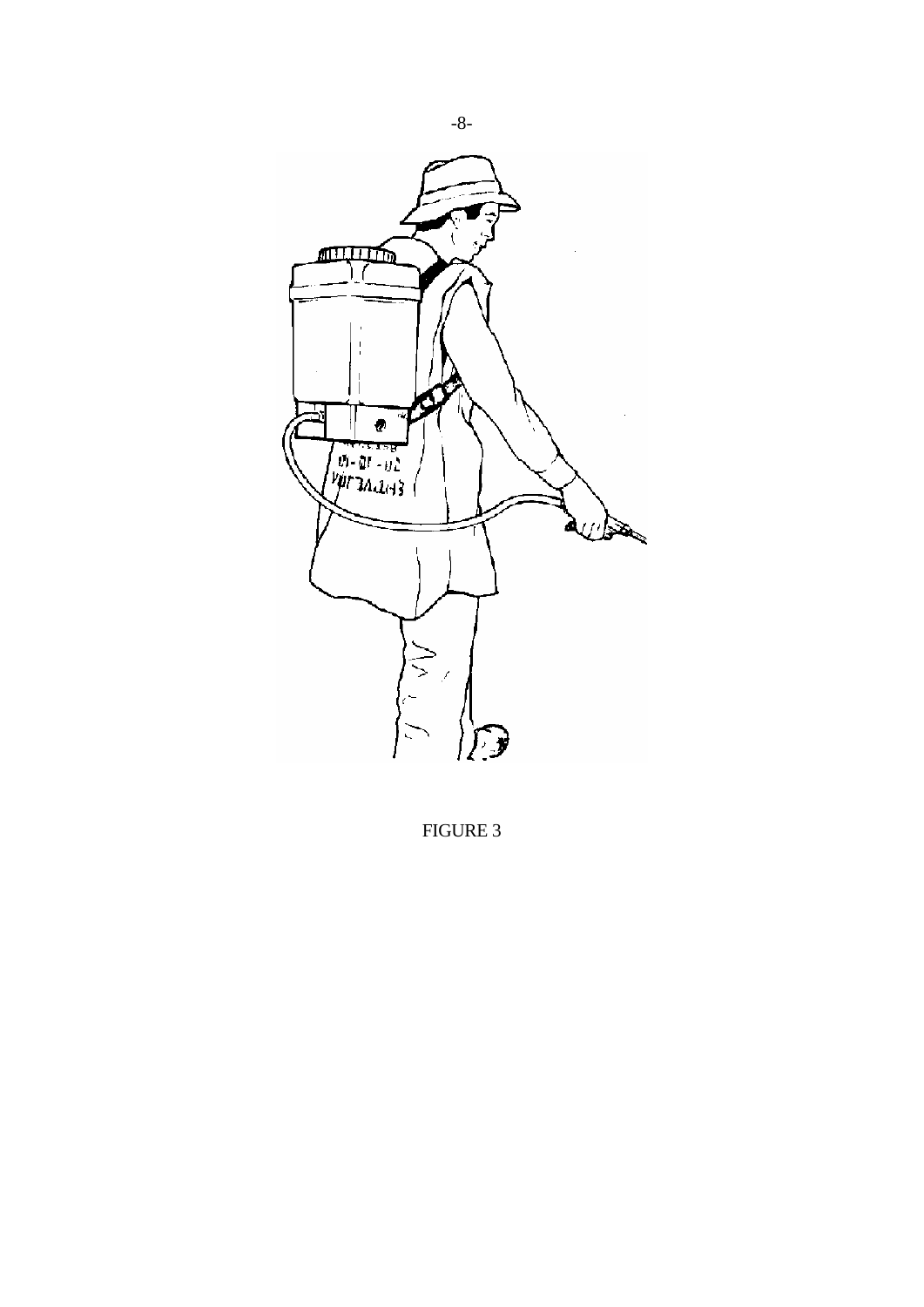

FIGURE 3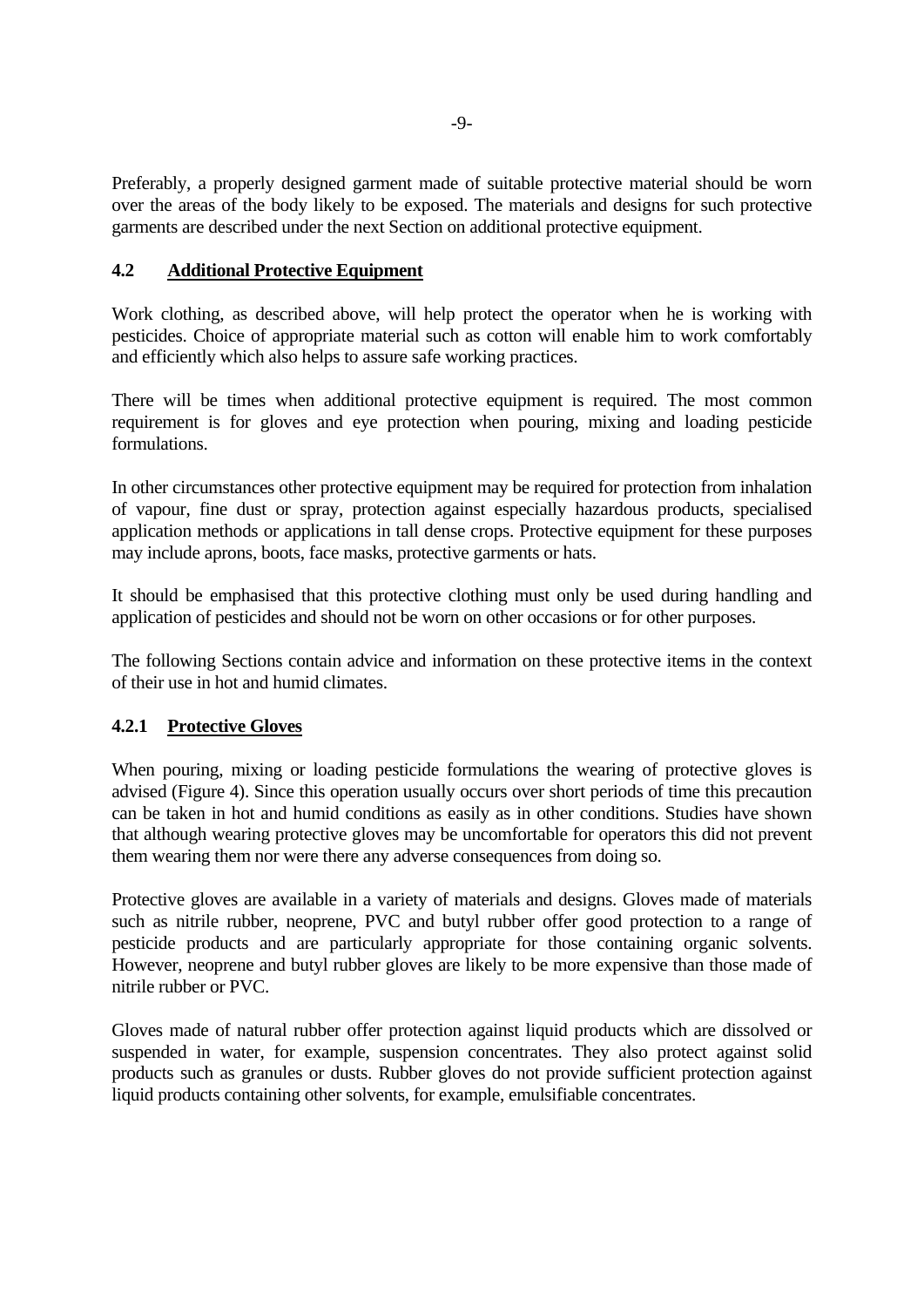Preferably, a properly designed garment made of suitable protective material should be worn over the areas of the body likely to be exposed. The materials and designs for such protective garments are described under the next Section on additional protective equipment.

# **4.2 Additional Protective Equipment**

Work clothing, as described above, will help protect the operator when he is working with pesticides. Choice of appropriate material such as cotton will enable him to work comfortably and efficiently which also helps to assure safe working practices.

There will be times when additional protective equipment is required. The most common requirement is for gloves and eye protection when pouring, mixing and loading pesticide formulations.

In other circumstances other protective equipment may be required for protection from inhalation of vapour, fine dust or spray, protection against especially hazardous products, specialised application methods or applications in tall dense crops. Protective equipment for these purposes may include aprons, boots, face masks, protective garments or hats.

It should be emphasised that this protective clothing must only be used during handling and application of pesticides and should not be worn on other occasions or for other purposes.

The following Sections contain advice and information on these protective items in the context of their use in hot and humid climates.

#### **4.2.1 Protective Gloves**

When pouring, mixing or loading pesticide formulations the wearing of protective gloves is advised (Figure 4). Since this operation usually occurs over short periods of time this precaution can be taken in hot and humid conditions as easily as in other conditions. Studies have shown that although wearing protective gloves may be uncomfortable for operators this did not prevent them wearing them nor were there any adverse consequences from doing so.

Protective gloves are available in a variety of materials and designs. Gloves made of materials such as nitrile rubber, neoprene, PVC and butyl rubber offer good protection to a range of pesticide products and are particularly appropriate for those containing organic solvents. However, neoprene and butyl rubber gloves are likely to be more expensive than those made of nitrile rubber or PVC.

Gloves made of natural rubber offer protection against liquid products which are dissolved or suspended in water, for example, suspension concentrates. They also protect against solid products such as granules or dusts. Rubber gloves do not provide sufficient protection against liquid products containing other solvents, for example, emulsifiable concentrates.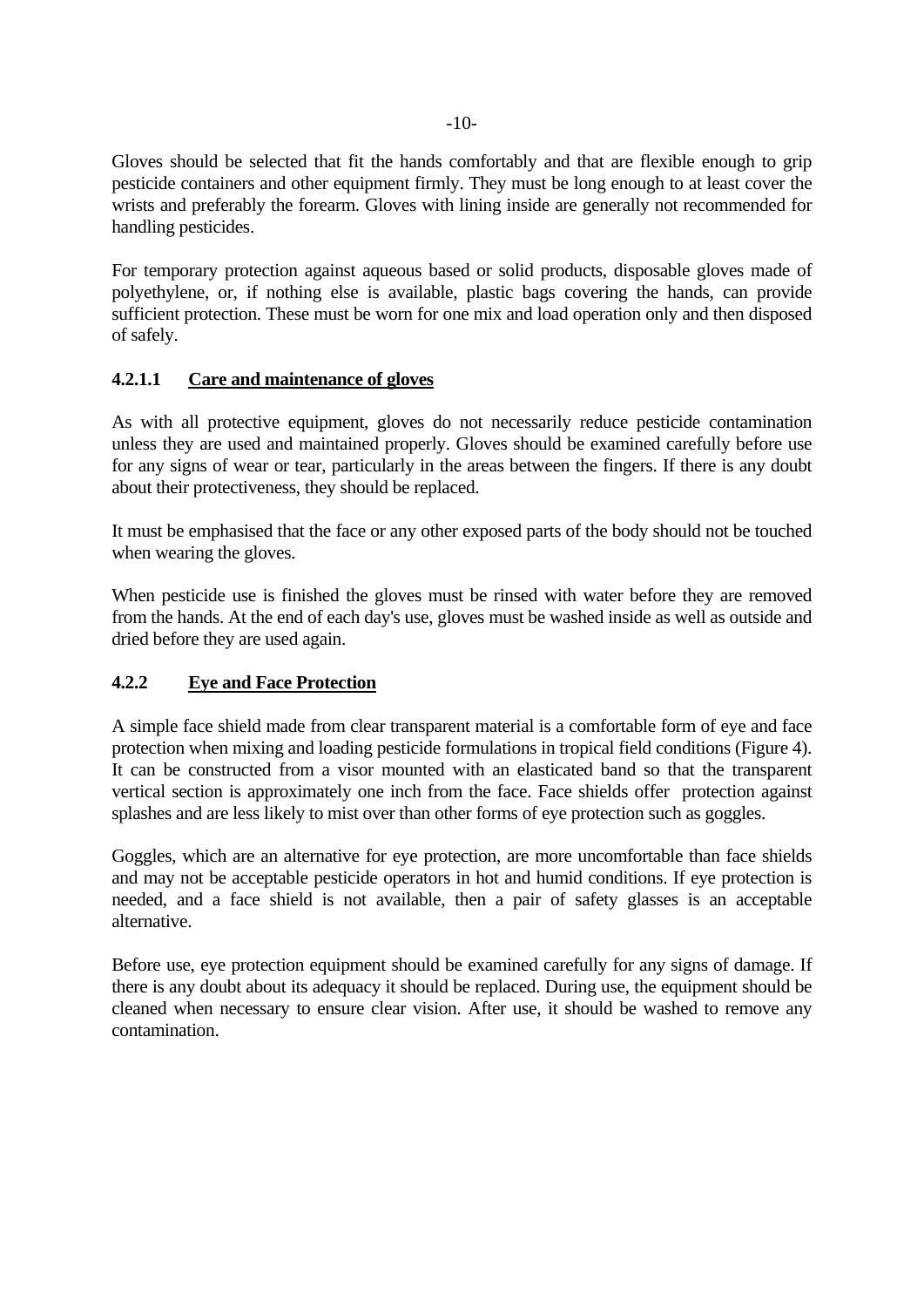Gloves should be selected that fit the hands comfortably and that are flexible enough to grip pesticide containers and other equipment firmly. They must be long enough to at least cover the wrists and preferably the forearm. Gloves with lining inside are generally not recommended for handling pesticides.

For temporary protection against aqueous based or solid products, disposable gloves made of polyethylene, or, if nothing else is available, plastic bags covering the hands, can provide sufficient protection. These must be worn for one mix and load operation only and then disposed of safely.

# **4.2.1.1 Care and maintenance of gloves**

As with all protective equipment, gloves do not necessarily reduce pesticide contamination unless they are used and maintained properly. Gloves should be examined carefully before use for any signs of wear or tear, particularly in the areas between the fingers. If there is any doubt about their protectiveness, they should be replaced.

It must be emphasised that the face or any other exposed parts of the body should not be touched when wearing the gloves.

When pesticide use is finished the gloves must be rinsed with water before they are removed from the hands. At the end of each day's use, gloves must be washed inside as well as outside and dried before they are used again.

# **4.2.2 Eye and Face Protection**

A simple face shield made from clear transparent material is a comfortable form of eye and face protection when mixing and loading pesticide formulations in tropical field conditions (Figure 4). It can be constructed from a visor mounted with an elasticated band so that the transparent vertical section is approximately one inch from the face. Face shields offer protection against splashes and are less likely to mist over than other forms of eye protection such as goggles.

Goggles, which are an alternative for eye protection, are more uncomfortable than face shields and may not be acceptable pesticide operators in hot and humid conditions. If eye protection is needed, and a face shield is not available, then a pair of safety glasses is an acceptable alternative.

Before use, eye protection equipment should be examined carefully for any signs of damage. If there is any doubt about its adequacy it should be replaced. During use, the equipment should be cleaned when necessary to ensure clear vision. After use, it should be washed to remove any contamination.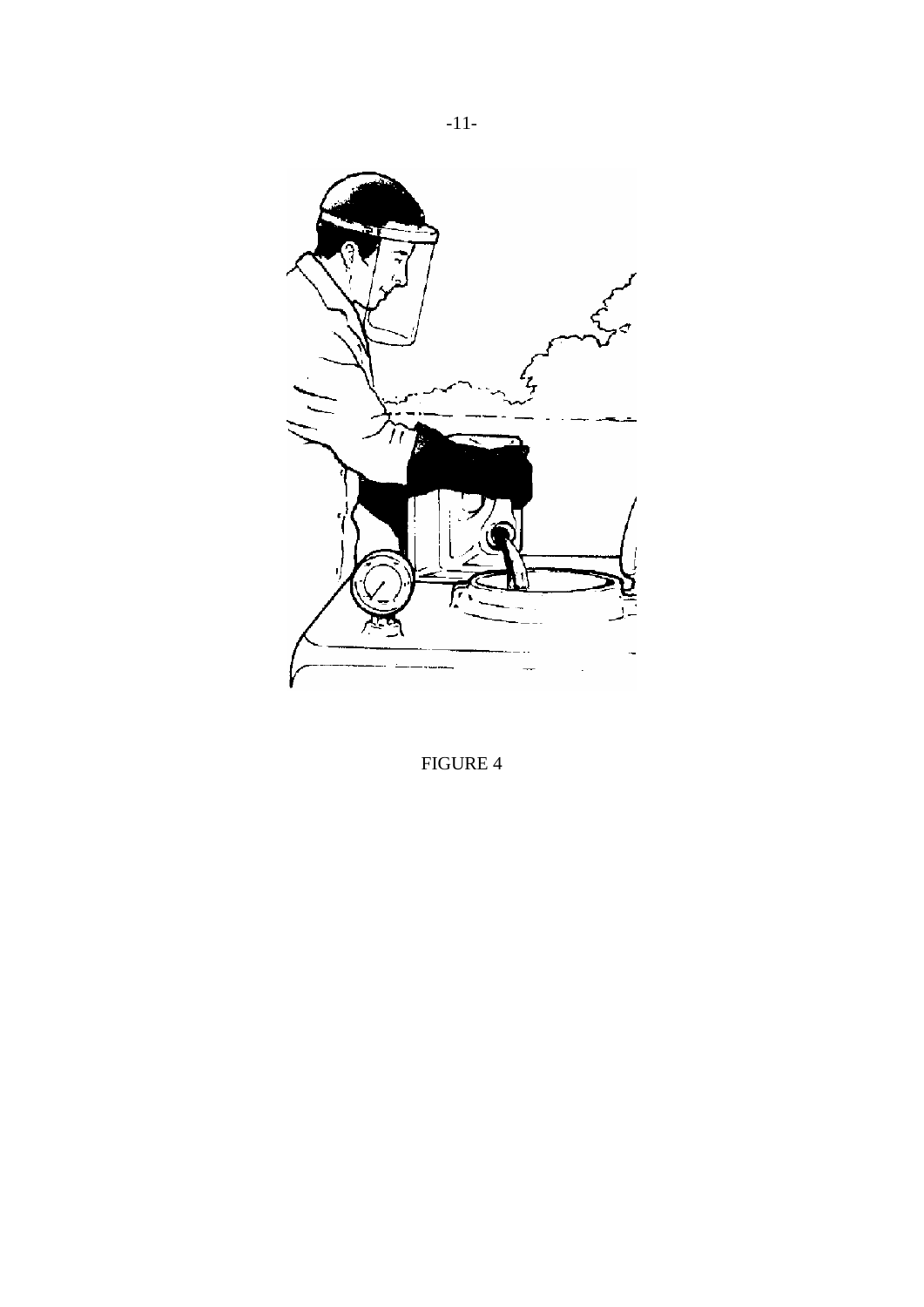

FIGURE 4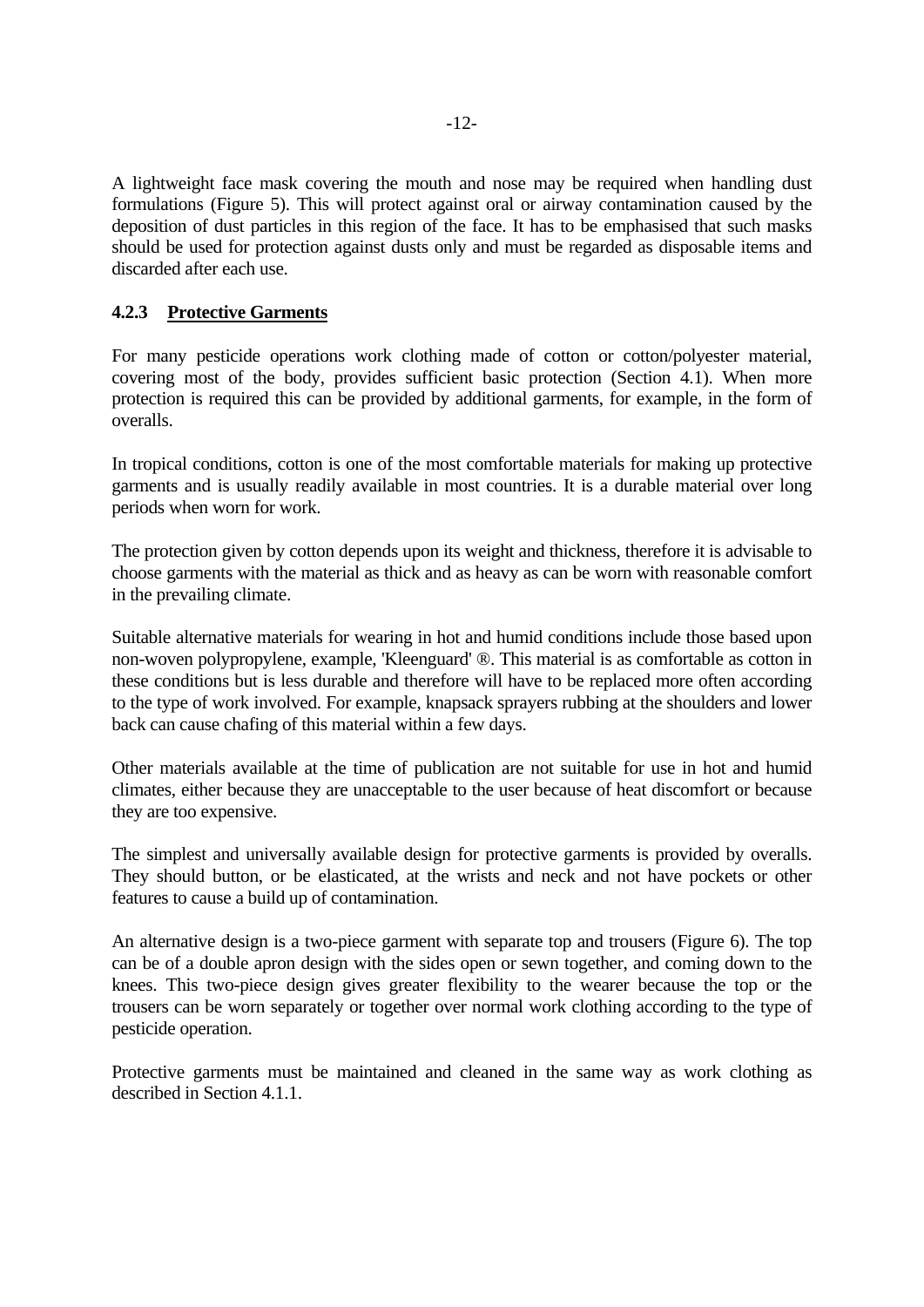A lightweight face mask covering the mouth and nose may be required when handling dust formulations (Figure 5). This will protect against oral or airway contamination caused by the deposition of dust particles in this region of the face. It has to be emphasised that such masks should be used for protection against dusts only and must be regarded as disposable items and discarded after each use.

#### **4.2.3 Protective Garments**

For many pesticide operations work clothing made of cotton or cotton/polyester material, covering most of the body, provides sufficient basic protection (Section 4.1). When more protection is required this can be provided by additional garments, for example, in the form of overalls.

In tropical conditions, cotton is one of the most comfortable materials for making up protective garments and is usually readily available in most countries. It is a durable material over long periods when worn for work.

The protection given by cotton depends upon its weight and thickness, therefore it is advisable to choose garments with the material as thick and as heavy as can be worn with reasonable comfort in the prevailing climate.

Suitable alternative materials for wearing in hot and humid conditions include those based upon non-woven polypropylene, example, 'Kleenguard' ®. This material is as comfortable as cotton in these conditions but is less durable and therefore will have to be replaced more often according to the type of work involved. For example, knapsack sprayers rubbing at the shoulders and lower back can cause chafing of this material within a few days.

Other materials available at the time of publication are not suitable for use in hot and humid climates, either because they are unacceptable to the user because of heat discomfort or because they are too expensive.

The simplest and universally available design for protective garments is provided by overalls. They should button, or be elasticated, at the wrists and neck and not have pockets or other features to cause a build up of contamination.

An alternative design is a two-piece garment with separate top and trousers (Figure 6). The top can be of a double apron design with the sides open or sewn together, and coming down to the knees. This two-piece design gives greater flexibility to the wearer because the top or the trousers can be worn separately or together over normal work clothing according to the type of pesticide operation.

Protective garments must be maintained and cleaned in the same way as work clothing as described in Section 4.1.1.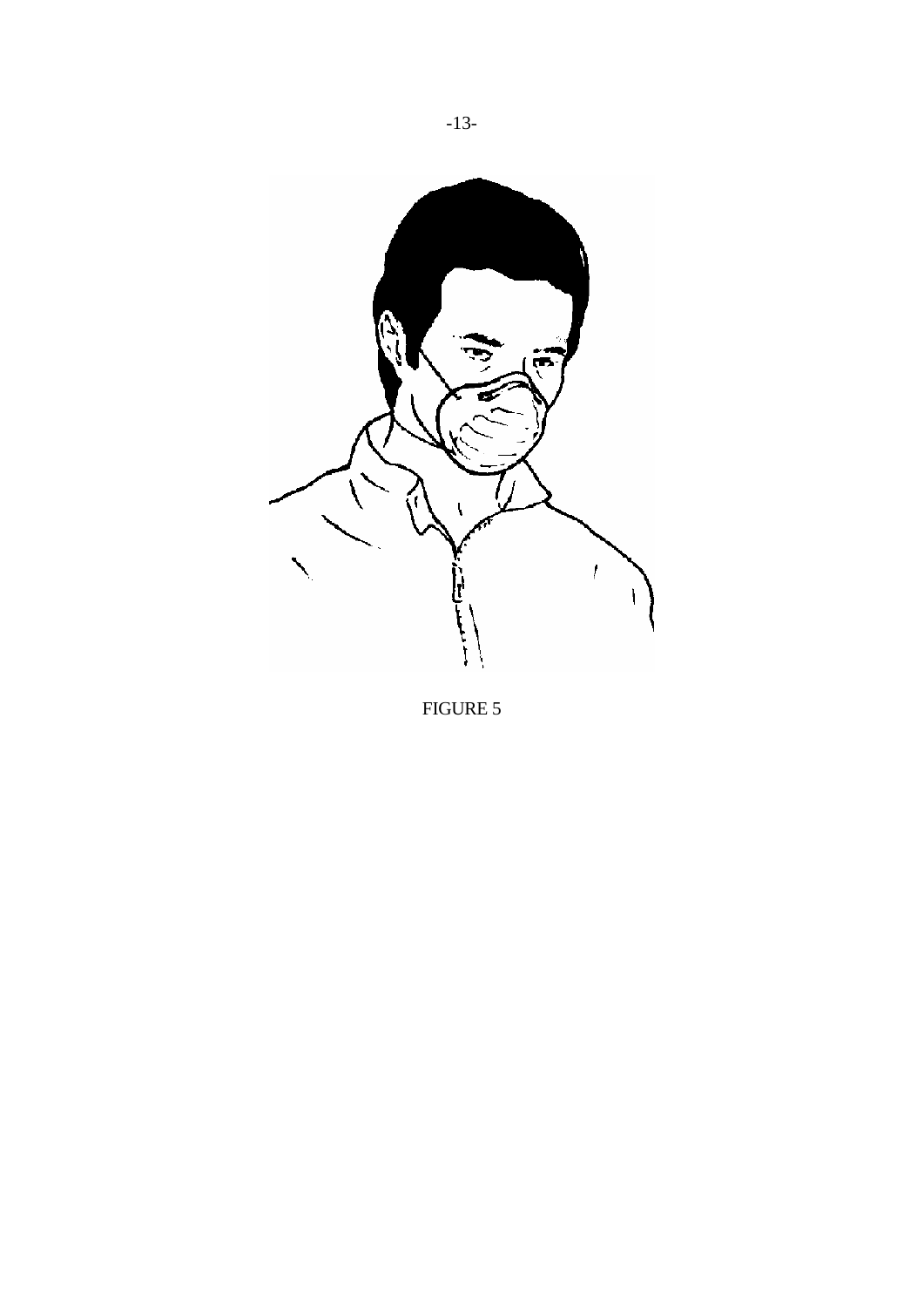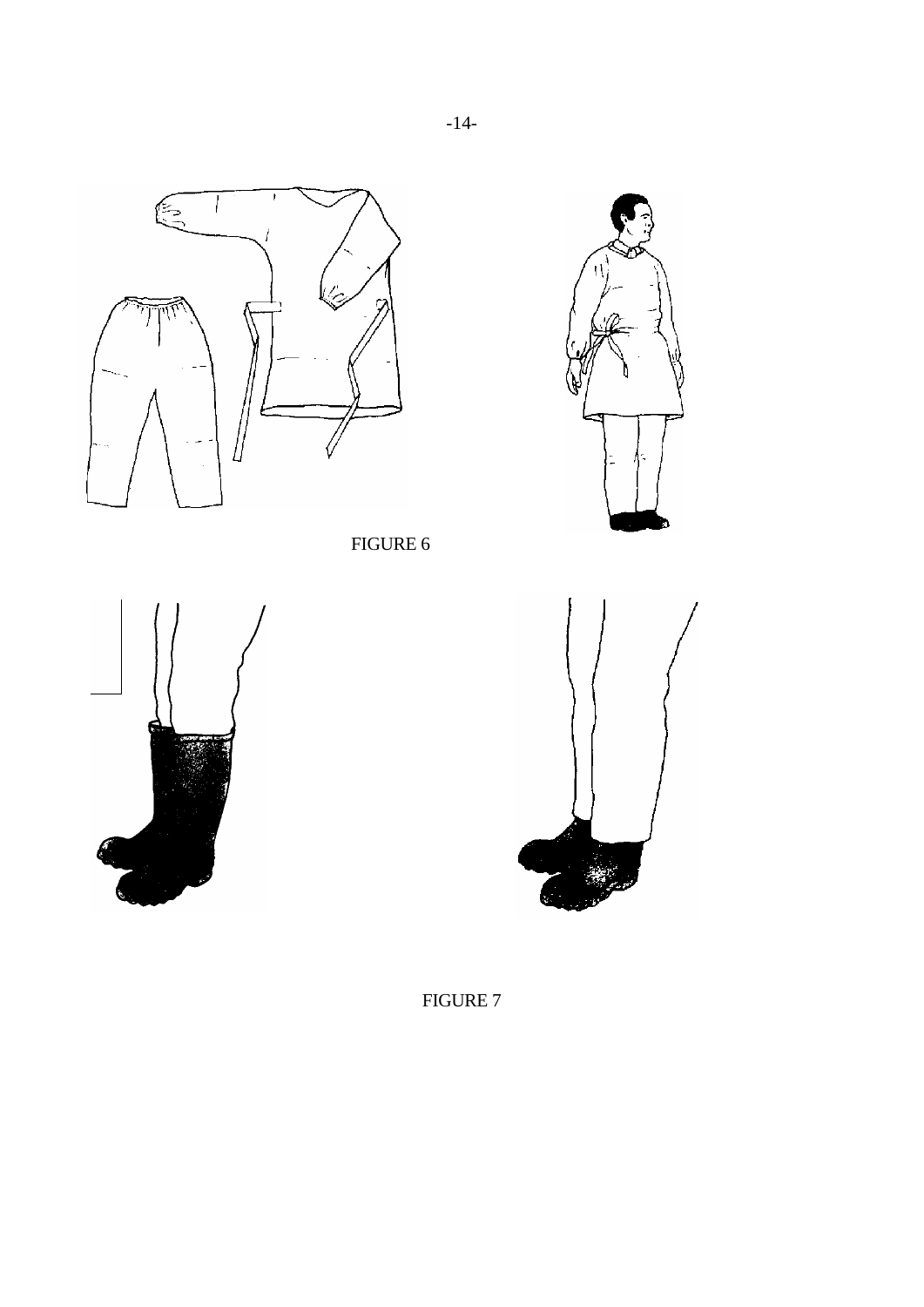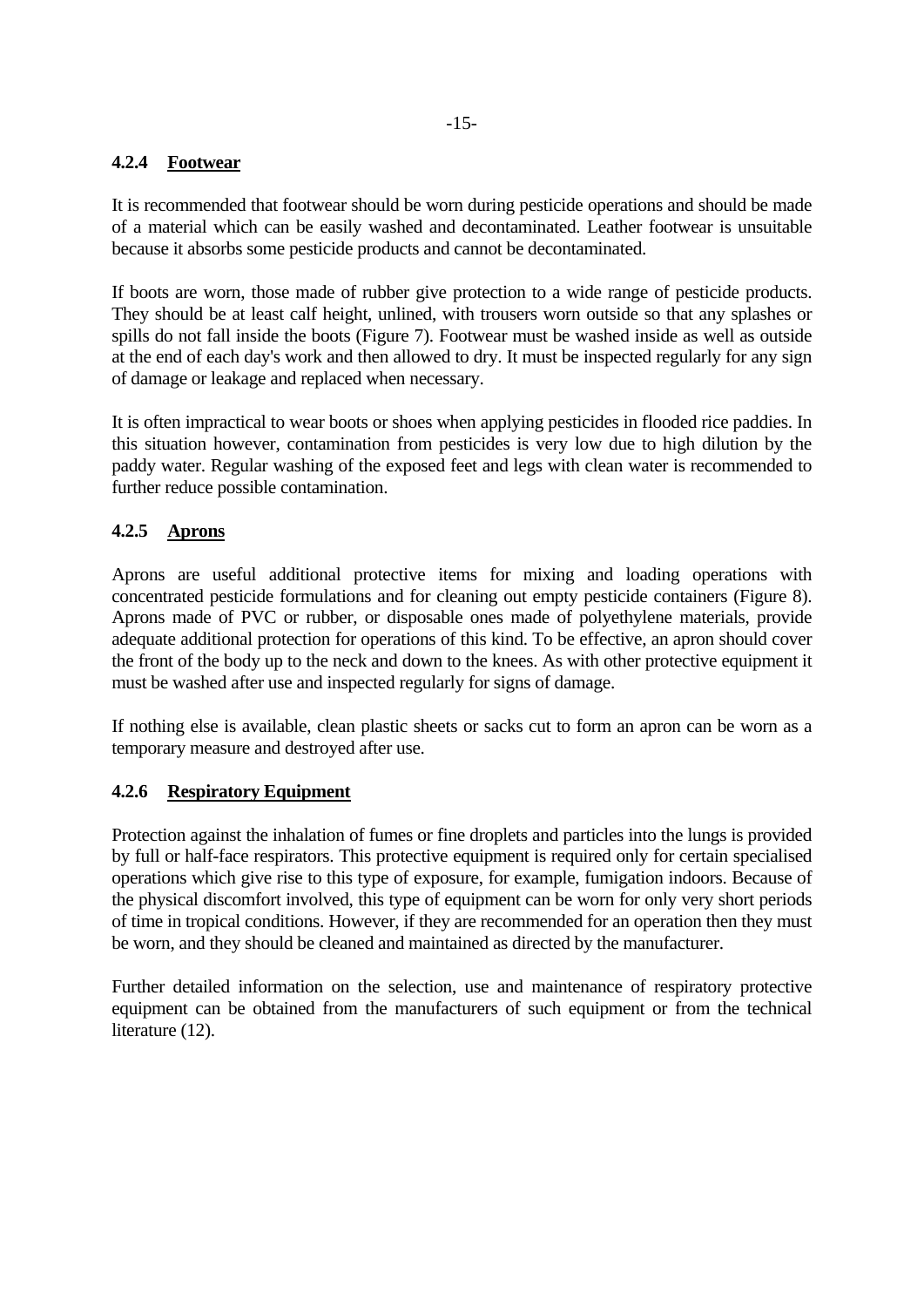# **4.2.4 Footwear**

It is recommended that footwear should be worn during pesticide operations and should be made of a material which can be easily washed and decontaminated. Leather footwear is unsuitable because it absorbs some pesticide products and cannot be decontaminated.

If boots are worn, those made of rubber give protection to a wide range of pesticide products. They should be at least calf height, unlined, with trousers worn outside so that any splashes or spills do not fall inside the boots (Figure 7). Footwear must be washed inside as well as outside at the end of each day's work and then allowed to dry. It must be inspected regularly for any sign of damage or leakage and replaced when necessary.

It is often impractical to wear boots or shoes when applying pesticides in flooded rice paddies. In this situation however, contamination from pesticides is very low due to high dilution by the paddy water. Regular washing of the exposed feet and legs with clean water is recommended to further reduce possible contamination.

# **4.2.5 Aprons**

Aprons are useful additional protective items for mixing and loading operations with concentrated pesticide formulations and for cleaning out empty pesticide containers (Figure 8). Aprons made of PVC or rubber, or disposable ones made of polyethylene materials, provide adequate additional protection for operations of this kind. To be effective, an apron should cover the front of the body up to the neck and down to the knees. As with other protective equipment it must be washed after use and inspected regularly for signs of damage.

If nothing else is available, clean plastic sheets or sacks cut to form an apron can be worn as a temporary measure and destroyed after use.

#### **4.2.6 Respiratory Equipment**

Protection against the inhalation of fumes or fine droplets and particles into the lungs is provided by full or half-face respirators. This protective equipment is required only for certain specialised operations which give rise to this type of exposure, for example, fumigation indoors. Because of the physical discomfort involved, this type of equipment can be worn for only very short periods of time in tropical conditions. However, if they are recommended for an operation then they must be worn, and they should be cleaned and maintained as directed by the manufacturer.

Further detailed information on the selection, use and maintenance of respiratory protective equipment can be obtained from the manufacturers of such equipment or from the technical literature (12).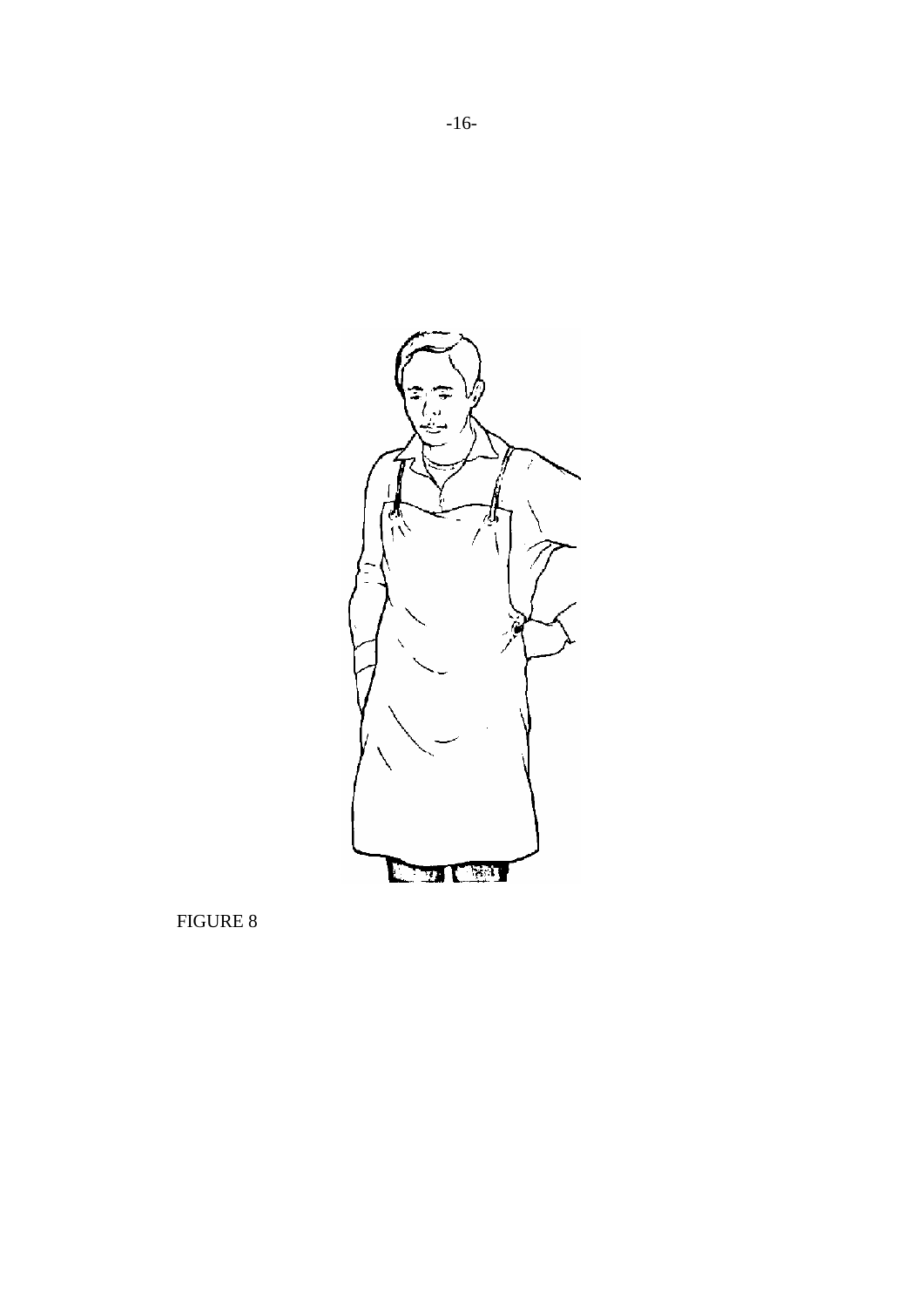

-16-